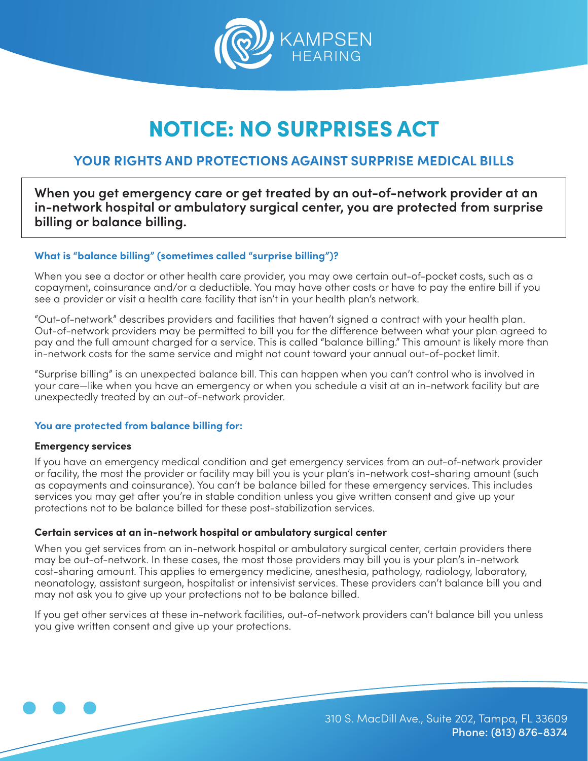

# NOTICE: NO SURPRISES ACT

### **YOUR RIGHTS AND PROTECTIONS AGAINST SURPRISE MEDICAL BILLS**

**When you get emergency care or get treated by an out-of-network provider at an in-network hospital or ambulatory surgical center, you are protected from surprise billing or balance billing.**

#### **What is "balance billing" (sometimes called "surprise billing")?**

When you see a doctor or other health care provider, you may owe certain out-of-pocket costs, such as a copayment, coinsurance and/or a deductible. You may have other costs or have to pay the entire bill if you see a provider or visit a health care facility that isn't in your health plan's network.

"Out-of-network" describes providers and facilities that haven't signed a contract with your health plan. Out-of-network providers may be permitted to bill you for the difference between what your plan agreed to pay and the full amount charged for a service. This is called "balance billing." This amount is likely more than in-network costs for the same service and might not count toward your annual out-of-pocket limit.

"Surprise billing" is an unexpected balance bill. This can happen when you can't control who is involved in your care—like when you have an emergency or when you schedule a visit at an in-network facility but are unexpectedly treated by an out-of-network provider.

#### **You are protected from balance billing for:**

#### **Emergency services**

If you have an emergency medical condition and get emergency services from an out-of-network provider or facility, the most the provider or facility may bill you is your plan's in-network cost-sharing amount (such as copayments and coinsurance). You can't be balance billed for these emergency services. This includes services you may get after you're in stable condition unless you give written consent and give up your protections not to be balance billed for these post-stabilization services.

#### **Certain services at an in-network hospital or ambulatory surgical center**

When you get services from an in-network hospital or ambulatory surgical center, certain providers there may be out-of-network. In these cases, the most those providers may bill you is your plan's in-network cost-sharing amount. This applies to emergency medicine, anesthesia, pathology, radiology, laboratory, neonatology, assistant surgeon, hospitalist or intensivist services. These providers can't balance bill you and may not ask you to give up your protections not to be balance billed.

If you get other services at these in-network facilities, out-of-network providers can't balance bill you unless you give written consent and give up your protections.